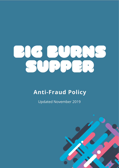

# **Anti-Fraud Policy**

**Updated November 2019** 

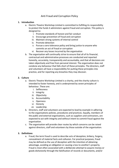# Anti Fraud and Corruption Policy

### **1. Introduction**

- a. Electric Theatre Workshop Limited is committed to fulfilling its responsibility to protect the funds it administers against fraud and corruption. This policy is designed to:
	- i. Promote standards of honest and fair conduct
	- ii. Encourage prevention of fraud and corruption
	- iii. Maintain strong systems of internal control
	- iv. Promote detection
	- v. Pursue a zero tolerance policy and bring justice to anyone who commits an act of fraud or corruption
	- vi. Recover any losses incurred by the organisation
- b. The organisation will continually strive to ensure that all of its financial, contractual and administrative processes are conducted and reported honestly, accurately, transparently and accountably, and that all decisions are taken objectively and free from personal interest. The organisation does not condone any behaviour that falls short of these principles. The directors, staff and volunteers all have a responsibility for putting these principles into practice, and for reporting any breaches they may discover.

## **2. Culture**

- a. Electric Theatre Workshop Limited is a charity, and the charity culture is intended to foster honesty, and is underpinned by seven principles of behaviour. These are:
	- i. Selflessness
	- ii. Integrity
	- iii. Objectivity
	- iv. Accountability
	- v. Openness
	- vi. Honesty
	- vii. Leadership
- b. Directors, staff and volunteers are expected to lead by example in adhering to the organisations policies, procedures and practices. Equally, members of the public and external organisations, such as suppliers and contractors, are expected to act with integrity and without intent to commit fraud against the organisation.
- c. The organisation will provide clear routes by which concerns can be raised against directors, staff and volunteers by those outside of the organisation.

#### **3. Definitions**

a. Fraud; the term fraud is used to describe acts of deception, bribery, forgery, concealment of material facts and collusion. For practical purposes, fraud may be defined as the use of deception with the intention of obtaining advantage, avoiding an obligation or causing a loss to another's property. Fraud is most often associated with a deliberate attempt to acquire money or goods dishonestly through the falsification of records or documents, and/or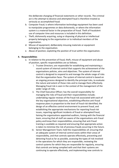the deliberate changing of financial statements or other records. The criminal act is the attempt to deceive and attempted fraud is therefore treated as seriously as accomplished fraud.

- b. Computer fraud; is where information technology equipment has been used to manipulate programmes or data dishonestly, or where the information system is a material factor in the preparation of fraud. Theft of fraudulent use of computer time and resources is included in this definition.
- c. Theft; dishonestly acquiring, suing or disposing of physical or intellectual property belonging to the organisation or to individual members of the organisation.
- d. Misuse of equipment; deliberately misusing materials or equipment belonging to the organisation.
- e. Abuse of position; exploiting the position of trust within the organisation.

#### **4. Responsibilities**

- a. In relation to the prevention of fraud, theft, misuse of equipment and abuse of position, specific responsibilities are as follows;
	- i. Trustee Directors; are responsible for establishing and maintaining a sound system of internal control that supports the achievement of the organisations policies, aims and objectives. The system of internal control is designed to respond to and manage the whole range of risks that the organisation faces. The system of internal control is based on an ongoing process designed to identify the principal risks, to evaluate the nature and extent of those risks and to manage them effectively. Managing fraud risk is seen in the context of the management of the wider range of risks.
	- ii. The Chief Executive Officer; has the overall responsibility for managing the risks of fraud and their responsibilities include; undertaking regular reviews of the fraud risk associated with each of the key organisational objectives, establishing effective anti-fraud response plans in proportion to the level of fraud risk identified, the design of an effective control environment to prevent fraud, and establishing the appropriate mechanisms for reporting fraud risk issues, reporting significant incidents of fraud or attempted fraud, liaising the organisations appointed auditors, liaising with the financial team, ensuring that all staff are aware of the organisations anti-fraud policy and know their responsibilities, ensuring that anti-fraud training is available as required and ensuring that appropriate action is taken to minimise the risk of previous frauds occurring in the future.
	- iii. Senior Management Team; hold the responsibilities of; ensuring that an adequate system of internal control exists within their areas of responsibility, and that controls operate effectively, preventing and detecting fraud as far as possible, assessing the types of risk involved in the operations for which they are responsible, reviewing the control systems for which they are responsible for regularly, ensuring that controls are being complied with and that their systems are continuing to operate effectively, and implementing new controls to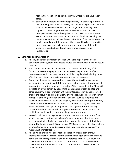reduce the risk of similar fraud occurring where frauds have taken place.

iv. Staff and Volunteers; have the responsibility to; act with propriety in use of the organisations resources, and the handling of funds whether they are involved with cash, receipts, payments or dealing with suppliers, conducting themselves in accordance with the seven principles set out above, being alert to the possibility that unusual events or transactions could be indicators of fraud and alerting their manager when they believe the opportunity for fraud exists, reporting details immediately if they suspect that a fraud has been committed or see any suspicious acts or events, and cooperating fully with whoever is conducting internal checks or reviews of fraud investigations.

#### **5. Detection and Investigation**

- a. An irregularity is any incident or action which is not part of the normal operations of the system or expected course of events which may be a result of fraud.
- b. The chair of the Board of Trustees must be notified immediately of all financial or accounting regularities or suspected irregularities or of any circumstances which may suggest the possible irregularities including those affecting cash, stores, property, renumeration or allowances.
- c. Reporting of suspected irregularities is essential as it facilitates a proper investigation by experienced staff, and ensures the consistent treatment of information regarding fraud and corruption. When so notified, the Chair will instigate an investigation by appointing a designated officer, auditor and other advisor will; deal promptly wit the matter, record evidence received, ensure the security and confidentiality of evidence, work closely with senior managers of the organisation and other agencies such as the police and courts to ensure that all issues are properly investigated and reported upon, ensure maximum recoveries are made on behalf of the organisation, and assist the senior managers to implement the organisations disciplinary procedures where considered appropriate (referral to the police will not prohibit or restrict action under the disciplinary procedure).
- d. No action will be taken against anyone who has reported a potential fraud should the suspicion turn out to be unfounded, provided that they have acted in good faith. Malicious accusations may be the subject of disciplinary action. The Public Interest Disclosure Act 1998 protects whistle-blowers from victimisation, discipline or dismissal where they raise genuine concern of misconduct or malpractice.
- e. An individual should not deal with an allegation or suspicion of fraud themselves but should refer them to their line manager. Should concern be about the line manager then it should be referred to the CEO. Should the concern be about the CEO it should be referred to the Chair. Should the concern be about the Chair it should be referred to the CEO or one of the other trustees.